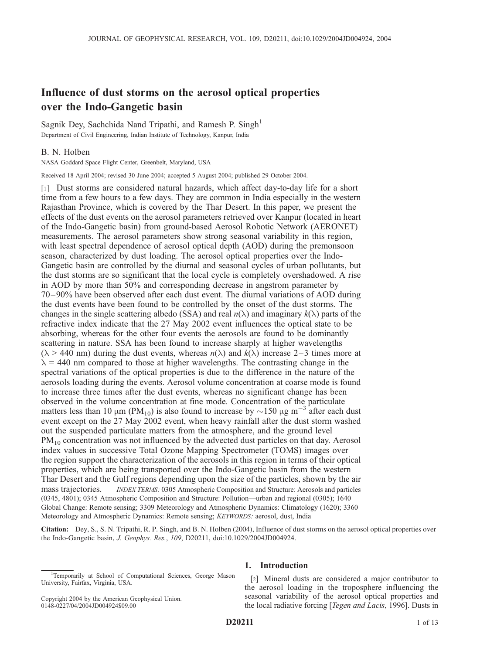# Influence of dust storms on the aerosol optical properties over the Indo-Gangetic basin

Sagnik Dey, Sachchida Nand Tripathi, and Ramesh P. Singh<sup>1</sup> Department of Civil Engineering, Indian Institute of Technology, Kanpur, India

### B. N. Holben

NASA Goddard Space Flight Center, Greenbelt, Maryland, USA

Received 18 April 2004; revised 30 June 2004; accepted 5 August 2004; published 29 October 2004.

[1] Dust storms are considered natural hazards, which affect day-to-day life for a short time from a few hours to a few days. They are common in India especially in the western Rajasthan Province, which is covered by the Thar Desert. In this paper, we present the effects of the dust events on the aerosol parameters retrieved over Kanpur (located in heart of the Indo-Gangetic basin) from ground-based Aerosol Robotic Network (AERONET) measurements. The aerosol parameters show strong seasonal variability in this region, with least spectral dependence of aerosol optical depth (AOD) during the premonsoon season, characterized by dust loading. The aerosol optical properties over the Indo-Gangetic basin are controlled by the diurnal and seasonal cycles of urban pollutants, but the dust storms are so significant that the local cycle is completely overshadowed. A rise in AOD by more than 50% and corresponding decrease in angstrom parameter by 70–90% have been observed after each dust event. The diurnal variations of AOD during the dust events have been found to be controlled by the onset of the dust storms. The changes in the single scattering albedo (SSA) and real  $n(\lambda)$  and imaginary  $k(\lambda)$  parts of the refractive index indicate that the 27 May 2002 event influences the optical state to be absorbing, whereas for the other four events the aerosols are found to be dominantly scattering in nature. SSA has been found to increase sharply at higher wavelengths  $(\lambda > 440 \text{ nm})$  during the dust events, whereas  $n(\lambda)$  and  $k(\lambda)$  increase 2–3 times more at  $\lambda$  = 440 nm compared to those at higher wavelengths. The contrasting change in the spectral variations of the optical properties is due to the difference in the nature of the aerosols loading during the events. Aerosol volume concentration at coarse mode is found to increase three times after the dust events, whereas no significant change has been observed in the volume concentration at fine mode. Concentration of the particulate matters less than 10  $\mu$ m (PM<sub>10</sub>) is also found to increase by  $\sim$ 150  $\mu$ g m<sup>-3</sup> after each dust event except on the 27 May 2002 event, when heavy rainfall after the dust storm washed out the suspended particulate matters from the atmosphere, and the ground level  $PM_{10}$  concentration was not influenced by the advected dust particles on that day. Aerosol index values in successive Total Ozone Mapping Spectrometer (TOMS) images over the region support the characterization of the aerosols in this region in terms of their optical properties, which are being transported over the Indo-Gangetic basin from the western Thar Desert and the Gulf regions depending upon the size of the particles, shown by the air mass trajectories. *INDEX TERMS:* 0305 Atmospheric Composition and Structure: Aerosols and particles (0345, 4801); 0345 Atmospheric Composition and Structure: Pollution—urban and regional (0305); 1640 Global Change: Remote sensing; 3309 Meteorology and Atmospheric Dynamics: Climatology (1620); 3360 Meteorology and Atmospheric Dynamics: Remote sensing; KEYWORDS: aerosol, dust, India

Citation: Dey, S., S. N. Tripathi, R. P. Singh, and B. N. Holben (2004), Influence of dust storms on the aerosol optical properties over the Indo-Gangetic basin, J. Geophys. Res., 109, D20211, doi:10.1029/2004JD004924.

# 1. Introduction

[2] Mineral dusts are considered a major contributor to the aerosol loading in the troposphere influencing the seasonal variability of the aerosol optical properties and the local radiative forcing [Tegen and Lacis, 1996]. Dusts in

<sup>&</sup>lt;sup>1</sup>Temporarily at School of Computational Sciences, George Mason University, Fairfax, Virginia, USA.

Copyright 2004 by the American Geophysical Union. 0148-0227/04/2004JD004924\$09.00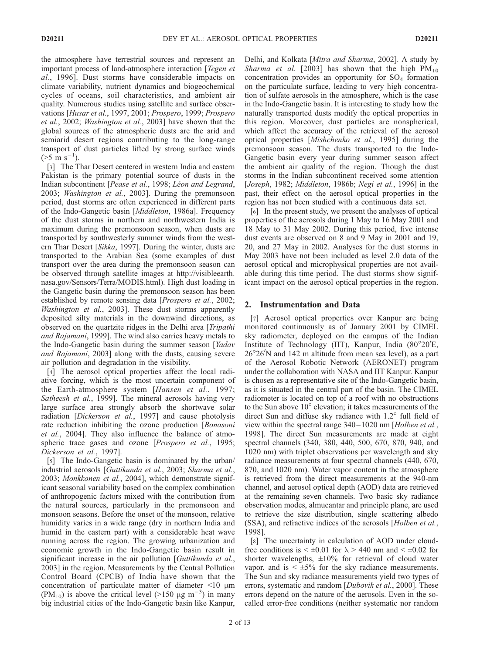the atmosphere have terrestrial sources and represent an important process of land-atmosphere interaction [Tegen et al., 1996]. Dust storms have considerable impacts on climate variability, nutrient dynamics and biogeochemical cycles of oceans, soil characteristics, and ambient air quality. Numerous studies using satellite and surface observations [Husar et al., 1997, 2001; Prospero, 1999; Prospero et al., 2002; Washington et al., 2003] have shown that the global sources of the atmospheric dusts are the arid and semiarid desert regions contributing to the long-range transport of dust particles lifted by strong surface winds  $($ >5 m s<sup>-1</sup> $).$ 

[3] The Thar Desert centered in western India and eastern Pakistan is the primary potential source of dusts in the Indian subcontinent [Pease et al., 1998; Léon and Legrand, 2003; Washington et al., 2003]. During the premonsoon period, dust storms are often experienced in different parts of the Indo-Gangetic basin [Middleton, 1986a]. Frequency of the dust storms in northern and northwestern India is maximum during the premonsoon season, when dusts are transported by southwesterly summer winds from the western Thar Desert [Sikka, 1997]. During the winter, dusts are transported to the Arabian Sea (some examples of dust transport over the area during the premonsoon season can be observed through satellite images at http://visibleearth. nasa.gov/Sensors/Terra/MODIS.html). High dust loading in the Gangetic basin during the premonsoon season has been established by remote sensing data [*Prospero et al.*, 2002; Washington et al., 2003]. These dust storms apparently deposited silty materials in the downwind directions, as observed on the quartzite ridges in the Delhi area [Tripathi and Rajamani, 1999]. The wind also carries heavy metals to the Indo-Gangetic basin during the summer season [Yadav and Rajamani, 2003] along with the dusts, causing severe air pollution and degradation in the visibility.

[4] The aerosol optical properties affect the local radiative forcing, which is the most uncertain component of the Earth-atmosphere system [Hansen et al., 1997; Satheesh et al., 1999]. The mineral aerosols having very large surface area strongly absorb the shortwave solar radiation [Dickerson et al., 1997] and cause photolysis rate reduction inhibiting the ozone production [Bonasoni et al., 2004]. They also influence the balance of atmospheric trace gases and ozone [Prospero et al., 1995; Dickerson et al., 1997].

[5] The Indo-Gangetic basin is dominated by the urban/ industrial aerosols [Guttikunda et al., 2003; Sharma et al., 2003; Monkkonen et al., 2004], which demonstrate significant seasonal variability based on the complex combination of anthropogenic factors mixed with the contribution from the natural sources, particularly in the premonsoon and monsoon seasons. Before the onset of the monsoon, relative humidity varies in a wide range (dry in northern India and humid in the eastern part) with a considerable heat wave running across the region. The growing urbanization and economic growth in the Indo-Gangetic basin result in significant increase in the air pollution [Guttikunda et al., 2003] in the region. Measurements by the Central Pollution Control Board (CPCB) of India have shown that the concentration of particulate matter of diameter  $\leq 10 \mu m$ (PM<sub>10</sub>) is above the critical level (>150  $\mu$ g m<sup>-3</sup>) in many big industrial cities of the Indo-Gangetic basin like Kanpur,

Delhi, and Kolkata [Mitra and Sharma, 2002]. A study by Sharma et al. [2003] has shown that the high  $PM_{10}$ concentration provides an opportunity for  $SO<sub>4</sub>$  formation on the particulate surface, leading to very high concentration of sulfate aerosols in the atmosphere, which is the case in the Indo-Gangetic basin. It is interesting to study how the naturally transported dusts modify the optical properties in this region. Moreover, dust particles are nonspherical, which affect the accuracy of the retrieval of the aerosol optical properties [Mishchenko et al., 1995] during the premonsoon season. The dusts transported to the Indo-Gangetic basin every year during summer season affect the ambient air quality of the region. Though the dust storms in the Indian subcontinent received some attention [Joseph, 1982; Middleton, 1986b; Negi et al., 1996] in the past, their effect on the aerosol optical properties in the region has not been studied with a continuous data set.

[6] In the present study, we present the analyses of optical properties of the aerosols during 1 May to 16 May 2001 and 18 May to 31 May 2002. During this period, five intense dust events are observed on 8 and 9 May in 2001 and 19, 20, and 27 May in 2002. Analyses for the dust storms in May 2003 have not been included as level 2.0 data of the aerosol optical and microphysical properties are not available during this time period. The dust storms show significant impact on the aerosol optical properties in the region.

# 2. Instrumentation and Data

[7] Aerosol optical properties over Kanpur are being monitored continuously as of January 2001 by CIMEL sky radiometer, deployed on the campus of the Indian Institute of Technology (IIT), Kanpur, India (80°20'E, 26°26'N and 142 m altitude from mean sea level), as a part of the Aerosol Robotic Network (AERONET) program under the collaboration with NASA and IIT Kanpur. Kanpur is chosen as a representative site of the Indo-Gangetic basin, as it is situated in the central part of the basin. The CIMEL radiometer is located on top of a roof with no obstructions to the Sun above  $10^{\circ}$  elevation; it takes measurements of the direct Sun and diffuse sky radiance with  $1.2^{\circ}$  full field of view within the spectral range 340– 1020 nm [Holben et al., 1998]. The direct Sun measurements are made at eight spectral channels (340, 380, 440, 500, 670, 870, 940, and 1020 nm) with triplet observations per wavelength and sky radiance measurements at four spectral channels (440, 670, 870, and 1020 nm). Water vapor content in the atmosphere is retrieved from the direct measurements at the 940-nm channel, and aerosol optical depth (AOD) data are retrieved at the remaining seven channels. Two basic sky radiance observation modes, almucantar and principle plane, are used to retrieve the size distribution, single scattering albedo (SSA), and refractive indices of the aerosols [Holben et al., 1998].

[8] The uncertainty in calculation of AOD under cloudfree conditions is  $\leq \pm 0.01$  for  $\lambda > 440$  nm and  $\leq \pm 0.02$  for shorter wavelengths,  $\pm 10\%$  for retrieval of cloud water vapor, and is  $\leq \pm 5\%$  for the sky radiance measurements. The Sun and sky radiance measurements yield two types of errors, systematic and random [*Dubovik et al.*, 2000]. These errors depend on the nature of the aerosols. Even in the socalled error-free conditions (neither systematic nor random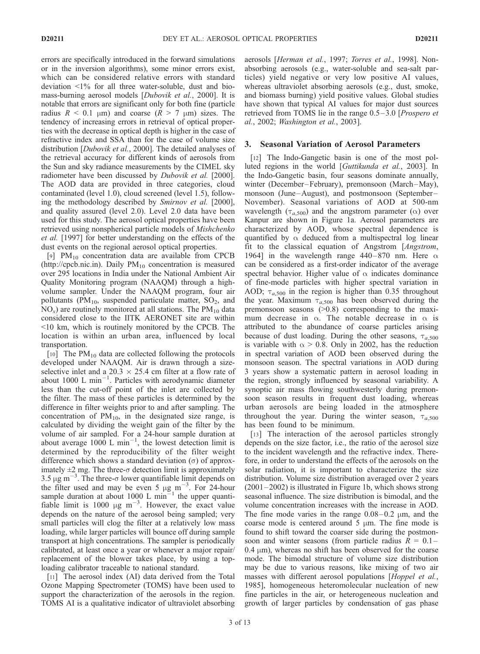errors are specifically introduced in the forward simulations or in the inversion algorithms), some minor errors exist, which can be considered relative errors with standard deviation  $\langle 1\%$  for all three water-soluble, dust and biomass-burning aerosol models [Dubovik et al., 2000]. It is notable that errors are significant only for both fine (particle radius  $R < 0.1$  µm) and coarse  $(R > 7$  µm) sizes. The tendency of increasing errors in retrieval of optical properties with the decrease in optical depth is higher in the case of refractive index and SSA than for the case of volume size distribution [*Dubovik et al.*, 2000]. The detailed analyses of the retrieval accuracy for different kinds of aerosols from the Sun and sky radiance measurements by the CIMEL sky radiometer have been discussed by *Dubovik et al.* [2000]. The AOD data are provided in three categories, cloud contaminated (level 1.0), cloud screened (level 1.5), following the methodology described by Smirnov et al. [2000], and quality assured (level 2.0). Level 2.0 data have been used for this study. The aerosol optical properties have been retrieved using nonspherical particle models of Mishchenko et al. [1997] for better understanding on the effects of the dust events on the regional aerosol optical properties.

[9]  $PM_{10}$  concentration data are available from CPCB (http://cpcb.nic.in). Daily  $PM_{10}$  concentration is measured over 295 locations in India under the National Ambient Air Quality Monitoring program (NAAQM) through a highvolume sampler. Under the NAAQM program, four air pollutants ( $PM_{10}$ , suspended particulate matter,  $SO_2$ , and  $NO<sub>x</sub>$ ) are routinely monitored at all stations. The  $PM<sub>10</sub>$  data considered close to the IITK AERONET site are within <10 km, which is routinely monitored by the CPCB. The location is within an urban area, influenced by local transportation.

[10] The PM<sub>10</sub> data are collected following the protocols developed under NAAQM. Air is drawn through a sizeselective inlet and a  $20.3 \times 25.4$  cm filter at a flow rate of about  $1000$  L min<sup>-1</sup>. Particles with aerodynamic diameter less than the cut-off point of the inlet are collected by the filter. The mass of these particles is determined by the difference in filter weights prior to and after sampling. The concentration of  $PM_{10}$ , in the designated size range, is calculated by dividing the weight gain of the filter by the volume of air sampled. For a 24-hour sample duration at about average  $1000 \text{ L min}^{-1}$ , the lowest detection limit is determined by the reproducibility of the filter weight difference which shows a standard deviation  $(\sigma)$  of approximately  $\pm 2$  mg. The three- $\sigma$  detection limit is approximately 3.5  $\mu$ g m<sup>-3</sup>. The three- $\sigma$  lower quantifiable limit depends on the filter used and may be even 5  $\mu$ g m<sup>-3</sup>. For 24-hour sample duration at about 1000 L min<sup> $=$ 1</sup> the upper quantifiable limit is 1000  $\mu$ g m<sup>-3</sup>. However, the exact value depends on the nature of the aerosol being sampled; very small particles will clog the filter at a relatively low mass loading, while larger particles will bounce off during sample transport at high concentrations. The sampler is periodically calibrated, at least once a year or whenever a major repair/ replacement of the blower takes place, by using a toploading calibrator traceable to national standard.

[11] The aerosol index (AI) data derived from the Total Ozone Mapping Spectrometer (TOMS) have been used to support the characterization of the aerosols in the region. TOMS AI is a qualitative indicator of ultraviolet absorbing aerosols [Herman et al., 1997; Torres et al., 1998]. Nonabsorbing aerosols (e.g., water-soluble and sea-salt particles) yield negative or very low positive AI values, whereas ultraviolet absorbing aerosols (e.g., dust, smoke, and biomass burning) yield positive values. Global studies have shown that typical AI values for major dust sources retrieved from TOMS lie in the range 0.5–3.0 [*Prospero et*] al., 2002; Washington et al., 2003].

### 3. Seasonal Variation of Aerosol Parameters

[12] The Indo-Gangetic basin is one of the most polluted regions in the world [Guttikunda et al., 2003]. In the Indo-Gangetic basin, four seasons dominate annually, winter (December–February), premonsoon (March–May), monsoon (June –August), and postmonsoon (September – November). Seasonal variations of AOD at 500-nm wavelength ( $\tau_{a,500}$ ) and the angstrom parameter ( $\alpha$ ) over Kanpur are shown in Figure 1a. Aerosol parameters are characterized by AOD, whose spectral dependence is quantified by  $\alpha$  deduced from a multispectral log linear fit to the classical equation of Angstrom [Angstrom, 1964] in the wavelength range 440–870 nm. Here  $\alpha$ can be considered as a first-order indicator of the average spectral behavior. Higher value of  $\alpha$  indicates dominance of fine-mode particles with higher spectral variation in AOD;  $\tau_{a,500}$  in the region is higher than 0.35 throughout the year. Maximum  $\tau_{a,500}$  has been observed during the premonsoon seasons  $(0.8)$  corresponding to the maximum decrease in  $\alpha$ . The notable decrease in  $\alpha$  is attributed to the abundance of coarse particles arising because of dust loading. During the other seasons,  $\tau_{a,500}$ is variable with  $\alpha > 0.8$ . Only in 2002, has the reduction in spectral variation of AOD been observed during the monsoon season. The spectral variations in AOD during 3 years show a systematic pattern in aerosol loading in the region, strongly influenced by seasonal variability. A synoptic air mass flowing southwesterly during premonsoon season results in frequent dust loading, whereas urban aerosols are being loaded in the atmosphere throughout the year. During the winter season,  $\tau_{a,500}$ has been found to be minimum.

[13] The interaction of the aerosol particles strongly depends on the size factor, i.e., the ratio of the aerosol size to the incident wavelength and the refractive index. Therefore, in order to understand the effects of the aerosols on the solar radiation, it is important to characterize the size distribution. Volume size distribution averaged over 2 years  $(2001–2002)$  is illustrated in Figure 1b, which shows strong seasonal influence. The size distribution is bimodal, and the volume concentration increases with the increase in AOD. The fine mode varies in the range  $0.08-0.2 \mu m$ , and the coarse mode is centered around  $5 \mu m$ . The fine mode is found to shift toward the coarser side during the postmonsoon and winter seasons (from particle radius  $R = 0.1 0.4 \mu m$ ), whereas no shift has been observed for the coarse mode. The bimodal structure of volume size distribution may be due to various reasons, like mixing of two air masses with different aerosol populations [*Hoppel et al.*, 1985], homogeneous heteromolecular nucleation of new fine particles in the air, or heterogeneous nucleation and growth of larger particles by condensation of gas phase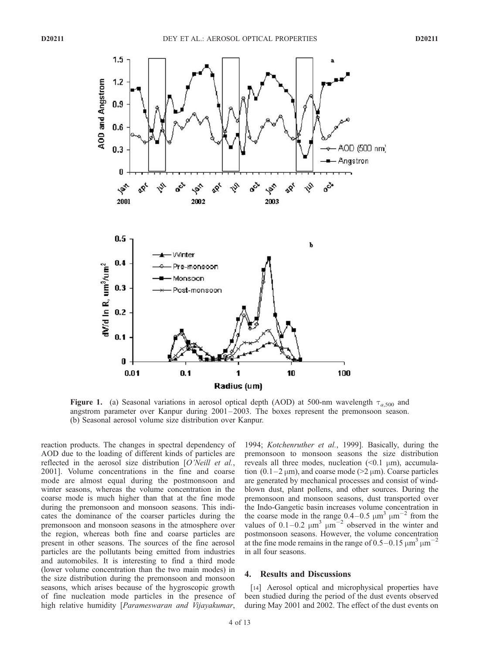

**Figure 1.** (a) Seasonal variations in aerosol optical depth (AOD) at 500-nm wavelength  $\tau_{a,500}$  and angstrom parameter over Kanpur during 2001 –2003. The boxes represent the premonsoon season. (b) Seasonal aerosol volume size distribution over Kanpur.

reaction products. The changes in spectral dependency of AOD due to the loading of different kinds of particles are reflected in the aerosol size distribution [O'Neill et al., 2001]. Volume concentrations in the fine and coarse mode are almost equal during the postmonsoon and winter seasons, whereas the volume concentration in the coarse mode is much higher than that at the fine mode during the premonsoon and monsoon seasons. This indicates the dominance of the coarser particles during the premonsoon and monsoon seasons in the atmosphere over the region, whereas both fine and coarse particles are present in other seasons. The sources of the fine aerosol particles are the pollutants being emitted from industries and automobiles. It is interesting to find a third mode (lower volume concentration than the two main modes) in the size distribution during the premonsoon and monsoon seasons, which arises because of the hygroscopic growth of fine nucleation mode particles in the presence of high relative humidity [Parameswaran and Vijayakumar,

1994; Kotchenruther et al., 1999]. Basically, during the premonsoon to monsoon seasons the size distribution reveals all three modes, nucleation  $(\leq 0.1 \mu m)$ , accumulation  $(0.1-2 \mu m)$ , and coarse mode ( $>2 \mu m$ ). Coarse particles are generated by mechanical processes and consist of windblown dust, plant pollens, and other sources. During the premonsoon and monsoon seasons, dust transported over the Indo-Gangetic basin increases volume concentration in the coarse mode in the range  $0.4-0.5 \mu m^3 \mu m^{-2}$  from the values of  $0.1-0.2 \mu m^3 \mu m^{-2}$  observed in the winter and postmonsoon seasons. However, the volume concentration at the fine mode remains in the range of  $0.5-0.15 \mu m^3 \mu m^{-2}$ in all four seasons.

### 4. Results and Discussions

[14] Aerosol optical and microphysical properties have been studied during the period of the dust events observed during May 2001 and 2002. The effect of the dust events on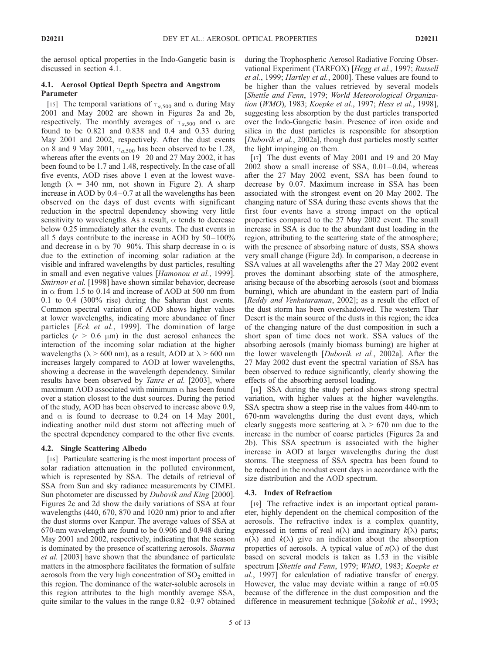the aerosol optical properties in the Indo-Gangetic basin is discussed in section 4.1.

# 4.1. Aerosol Optical Depth Spectra and Angstrom Parameter

[15] The temporal variations of  $\tau_{a,500}$  and  $\alpha$  during May 2001 and May 2002 are shown in Figures 2a and 2b, respectively. The monthly averages of  $\tau_{a,500}$  and  $\alpha$  are found to be 0.821 and 0.838 and 0.4 and 0.33 during May 2001 and 2002, respectively. After the dust events on 8 and 9 May 2001,  $\tau_{a,500}$  has been observed to be 1.28, whereas after the events on 19-20 and 27 May 2002, it has been found to be 1.7 and 1.48, respectively. In the case of all five events, AOD rises above 1 even at the lowest wavelength ( $\lambda$  = 340 nm, not shown in Figure 2). A sharp increase in AOD by  $0.4-0.7$  at all the wavelengths has been observed on the days of dust events with significant reduction in the spectral dependency showing very little sensitivity to wavelengths. As a result,  $\alpha$  tends to decrease below 0.25 immediately after the events. The dust events in all 5 days contribute to the increase in AOD by  $50-100\%$ and decrease in  $\alpha$  by 70–90%. This sharp decrease in  $\alpha$  is due to the extinction of incoming solar radiation at the visible and infrared wavelengths by dust particles, resulting in small and even negative values [Hamonou et al., 1999]. Smirnov et al. [1998] have shown similar behavior, decrease in  $\alpha$  from 1.5 to 0.14 and increase of AOD at 500 nm from 0.1 to 0.4 (300% rise) during the Saharan dust events. Common spectral variation of AOD shows higher values at lower wavelengths, indicating more abundance of finer particles [Eck et al., 1999]. The domination of large particles  $(r > 0.6 \mu m)$  in the dust aerosol enhances the interaction of the incoming solar radiation at the higher wavelengths ( $\lambda$  > 600 nm), as a result, AOD at  $\lambda$  > 600 nm increases largely compared to AOD at lower wavelengths, showing a decrease in the wavelength dependency. Similar results have been observed by *Tanre et al.* [2003], where maximum AOD associated with minimum  $\alpha$  has been found over a station closest to the dust sources. During the period of the study, AOD has been observed to increase above 0.9, and  $\alpha$  is found to decrease to 0.24 on 14 May 2001, indicating another mild dust storm not affecting much of the spectral dependency compared to the other five events.

# 4.2. Single Scattering Albedo

[16] Particulate scattering is the most important process of solar radiation attenuation in the polluted environment, which is represented by SSA. The details of retrieval of SSA from Sun and sky radiance measurements by CIMEL Sun photometer are discussed by *Dubovik and King* [2000]. Figures 2c and 2d show the daily variations of SSA at four wavelengths (440, 670, 870 and 1020 nm) prior to and after the dust storms over Kanpur. The average values of SSA at 670-nm wavelength are found to be 0.906 and 0.948 during May 2001 and 2002, respectively, indicating that the season is dominated by the presence of scattering aerosols. *Sharma* et al. [2003] have shown that the abundance of particulate matters in the atmosphere facilitates the formation of sulfate aerosols from the very high concentration of  $SO_2$  emitted in this region. The dominance of the water-soluble aerosols in this region attributes to the high monthly average SSA, quite similar to the values in the range  $0.82-0.97$  obtained

during the Trophospheric Aerosol Radiative Forcing Observational Experiment (TARFOX) [Hegg et al., 1997; Russell et al., 1999; Hartley et al., 2000]. These values are found to be higher than the values retrieved by several models [Shettle and Fenn, 1979; World Meteorological Organization (WMO), 1983; Koepke et al., 1997; Hess et al., 1998], suggesting less absorption by the dust particles transported over the Indo-Gangetic basin. Presence of iron oxide and silica in the dust particles is responsible for absorption [Dubovik et al., 2002a], though dust particles mostly scatter the light impinging on them.

[17] The dust events of May 2001 and 19 and 20 May  $2002$  show a small increase of SSA,  $0.01-0.04$ , whereas after the 27 May 2002 event, SSA has been found to decrease by 0.07. Maximum increase in SSA has been associated with the strongest event on 20 May 2002. The changing nature of SSA during these events shows that the first four events have a strong impact on the optical properties compared to the 27 May 2002 event. The small increase in SSA is due to the abundant dust loading in the region, attributing to the scattering state of the atmosphere; with the presence of absorbing nature of dusts, SSA shows very small change (Figure 2d). In comparison, a decrease in SSA values at all wavelengths after the 27 May 2002 event proves the dominant absorbing state of the atmosphere, arising because of the absorbing aerosols (soot and biomass burning), which are abundant in the eastern part of India [Reddy and Venkataraman, 2002]; as a result the effect of the dust storm has been overshadowed. The western Thar Desert is the main source of the dusts in this region; the idea of the changing nature of the dust composition in such a short span of time does not work. SSA values of the absorbing aerosols (mainly biomass burning) are higher at the lower wavelength [Dubovik et al., 2002a]. After the 27 May 2002 dust event the spectral variation of SSA has been observed to reduce significantly, clearly showing the effects of the absorbing aerosol loading.

[18] SSA during the study period shows strong spectral variation, with higher values at the higher wavelengths. SSA spectra show a steep rise in the values from 440-nm to 670-nm wavelengths during the dust event days, which clearly suggests more scattering at  $\lambda > 670$  nm due to the increase in the number of coarse particles (Figures 2a and 2b). This SSA spectrum is associated with the higher increase in AOD at larger wavelengths during the dust storms. The steepness of SSA spectra has been found to be reduced in the nondust event days in accordance with the size distribution and the AOD spectrum.

# 4.3. Index of Refraction

[19] The refractive index is an important optical parameter, highly dependent on the chemical composition of the aerosols. The refractive index is a complex quantity, expressed in terms of real  $n(\lambda)$  and imaginary  $k(\lambda)$  parts;  $n(\lambda)$  and  $k(\lambda)$  give an indication about the absorption properties of aerosols. A typical value of  $n(\lambda)$  of the dust based on several models is taken as 1.53 in the visible spectrum [Shettle and Fenn, 1979; WMO, 1983; Koepke et al., 1997] for calculation of radiative transfer of energy. However, the value may deviate within a range of  $\pm 0.05$ because of the difference in the dust composition and the difference in measurement technique [Sokolik et al., 1993;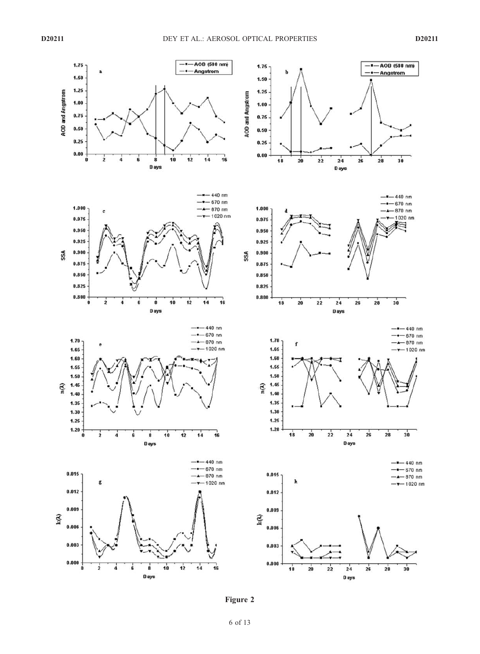

Figure 2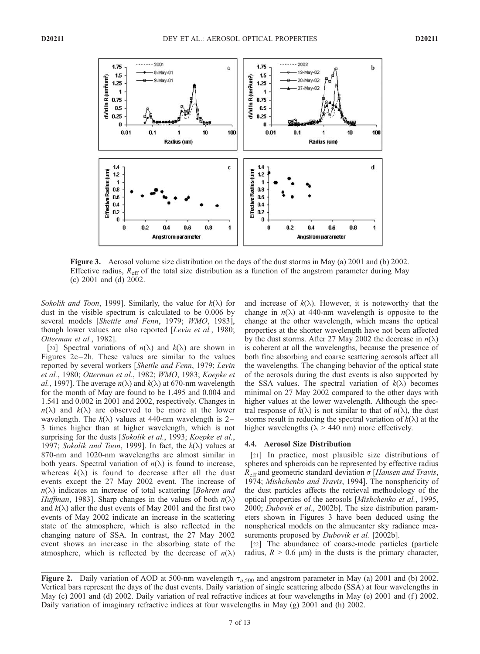

Figure 3. Aerosol volume size distribution on the days of the dust storms in May (a) 2001 and (b) 2002. Effective radius,  $R_{\text{eff}}$  of the total size distribution as a function of the angstrom parameter during May (c) 2001 and (d) 2002.

Sokolik and Toon, 1999]. Similarly, the value for  $k(\lambda)$  for dust in the visible spectrum is calculated to be 0.006 by several models [Shettle and Fenn, 1979; WMO, 1983], though lower values are also reported [Levin et al., 1980; Otterman et al., 1982].

[20] Spectral variations of  $n(\lambda)$  and  $k(\lambda)$  are shown in Figures  $2e-2h$ . These values are similar to the values reported by several workers [Shettle and Fenn, 1979; Levin et al., 1980; Otterman et al., 1982; WMO, 1983; Koepke et al., 1997]. The average  $n(\lambda)$  and  $k(\lambda)$  at 670-nm wavelength for the month of May are found to be 1.495 and 0.004 and 1.541 and 0.002 in 2001 and 2002, respectively. Changes in  $n(\lambda)$  and  $k(\lambda)$  are observed to be more at the lower wavelength. The  $k(\lambda)$  values at 440-nm wavelength is 2-3 times higher than at higher wavelength, which is not surprising for the dusts [Sokolik et al., 1993; Koepke et al., 1997; Sokolik and Toon, 1999]. In fact, the  $k(\lambda)$  values at 870-nm and 1020-nm wavelengths are almost similar in both years. Spectral variation of  $n(\lambda)$  is found to increase, whereas  $k(\lambda)$  is found to decrease after all the dust events except the 27 May 2002 event. The increase of  $n(\lambda)$  indicates an increase of total scattering [Bohren and *Huffman*, 1983]. Sharp changes in the values of both  $n(\lambda)$ and  $k(\lambda)$  after the dust events of May 2001 and the first two events of May 2002 indicate an increase in the scattering state of the atmosphere, which is also reflected in the changing nature of SSA. In contrast, the 27 May 2002 event shows an increase in the absorbing state of the atmosphere, which is reflected by the decrease of  $n(\lambda)$ 

and increase of  $k(\lambda)$ . However, it is noteworthy that the change in  $n(\lambda)$  at 440-nm wavelength is opposite to the change at the other wavelength, which means the optical properties at the shorter wavelength have not been affected by the dust storms. After 27 May 2002 the decrease in  $n(\lambda)$ is coherent at all the wavelengths, because the presence of both fine absorbing and coarse scattering aerosols affect all the wavelengths. The changing behavior of the optical state of the aerosols during the dust events is also supported by the SSA values. The spectral variation of  $k(\lambda)$  becomes minimal on 27 May 2002 compared to the other days with higher values at the lower wavelength. Although the spectral response of  $k(\lambda)$  is not similar to that of  $n(\lambda)$ , the dust storms result in reducing the spectral variation of  $k(\lambda)$  at the higher wavelengths ( $\lambda$  > 440 nm) more effectively.

#### 4.4. Aerosol Size Distribution

[21] In practice, most plausible size distributions of spheres and spheroids can be represented by effective radius  $R_{\text{eff}}$  and geometric standard deviation  $\sigma$  [Hansen and Travis, 1974; Mishchenko and Travis, 1994]. The nonsphericity of the dust particles affects the retrieval methodology of the optical properties of the aerosols [Mishchenko et al., 1995, 2000; Dubovik et al., 2002b]. The size distribution parameters shown in Figures 3 have been deduced using the nonspherical models on the almucanter sky radiance measurements proposed by *Dubovik et al.* [2002b].

[22] The abundance of coarse-mode particles (particle radius,  $R > 0.6 \mu m$ ) in the dusts is the primary character,

Figure 2. Daily variation of AOD at 500-nm wavelength  $\tau_{a,500}$  and angstrom parameter in May (a) 2001 and (b) 2002. Vertical bars represent the days of the dust events. Daily variation of single scattering albedo (SSA) at four wavelengths in May (c) 2001 and (d) 2002. Daily variation of real refractive indices at four wavelengths in May (e) 2001 and (f) 2002. Daily variation of imaginary refractive indices at four wavelengths in May (g) 2001 and (h) 2002.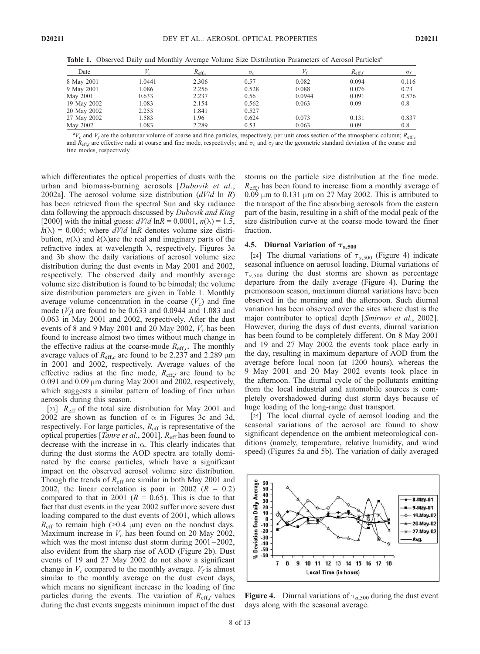Table 1. Observed Daily and Monthly Average Volume Size Distribution Parameters of Aerosol Particles<sup>a</sup>

| Date        |       | $R_{\mathrm{eff},c}$ | $\sigma$ . |        | $R_{\text{eff},f}$ | $\sigma_{f}$ |
|-------------|-------|----------------------|------------|--------|--------------------|--------------|
| 8 May 2001  | .0441 | 2.306                | 0.57       | 0.082  | 0.094              | 0.116        |
| 9 May 2001  | .086  | 2.256                | 0.528      | 0.088  | 0.076              | 0.73         |
| May 2001    | 0.633 | 2.237                | 0.56       | 0.0944 | 0.091              | 0.576        |
| 19 May 2002 | 1.083 | 2.154                | 0.562      | 0.063  | 0.09               | 0.8          |
| 20 May 2002 | 2.253 | 1.841                | 0.527      |        |                    |              |
| 27 May 2002 | 1.583 | 1.96                 | 0.624      | 0.073  | 0.131              | 0.837        |
| May 2002    | .083  | 2.289                | 0.53       | 0.063  | 0.09               | 0.8          |

 ${}^aV_c$  and  $V_f$  are the columnar volume of coarse and fine particles, respectively, per unit cross section of the atmospheric column;  $R_{\text{eff},c}$ and  $R_{\text{eff},f}$  are effective radii at coarse and fine mode, respectively; and  $\sigma_c$  and  $\sigma_f$  are the geometric standard deviation of the coarse and fine modes, respectively.

which differentiates the optical properties of dusts with the urban and biomass-burning aerosols [Dubovik et al., 2002a]. The aerosol volume size distribution  $(dV/d \ln R)$ has been retrieved from the spectral Sun and sky radiance data following the approach discussed by *Dubovik and King* [2000] with the initial guess:  $dV/d \ln R = 0.0001$ ,  $n(\lambda) = 1.5$ ,  $k(\lambda) = 0.005$ ; where  $dV/d$  lnR denotes volume size distribution,  $n(\lambda)$  and  $k(\lambda)$ are the real and imaginary parts of the refractive index at wavelength  $\lambda$ , respectively. Figures 3a and 3b show the daily variations of aerosol volume size distribution during the dust events in May 2001 and 2002, respectively. The observed daily and monthly average volume size distribution is found to be bimodal; the volume size distribution parameters are given in Table 1. Monthly average volume concentration in the coarse  $(V_c)$  and fine mode  $(V_f)$  are found to be 0.633 and 0.0944 and 1.083 and 0.063 in May 2001 and 2002, respectively. After the dust events of 8 and 9 May 2001 and 20 May 2002,  $V_c$  has been found to increase almost two times without much change in the effective radius at the coarse-mode  $R_{\text{eff},c}$ . The monthly average values of  $R_{\text{eff},c}$  are found to be 2.237 and 2.289  $\mu$ m in 2001 and 2002, respectively. Average values of the effective radius at the fine mode,  $R_{\text{eff},f}$  are found to be  $0.091$  and  $0.09 \mu$ m during May 2001 and 2002, respectively, which suggests a similar pattern of loading of finer urban aerosols during this season.

[23]  $R_{\text{eff}}$  of the total size distribution for May 2001 and 2002 are shown as function of  $\alpha$  in Figures 3c and 3d, respectively. For large particles,  $R_{\text{eff}}$  is representative of the optical properties [*Tanre et al.*, 2001].  $R_{\text{eff}}$  has been found to decrease with the increase in  $\alpha$ . This clearly indicates that during the dust storms the AOD spectra are totally dominated by the coarse particles, which have a significant impact on the observed aerosol volume size distribution. Though the trends of  $R_{\text{eff}}$  are similar in both May 2001 and 2002, the linear correlation is poor in 2002 ( $R = 0.2$ ) compared to that in 2001 ( $R = 0.65$ ). This is due to that fact that dust events in the year 2002 suffer more severe dust loading compared to the dust events of 2001, which allows  $R_{\text{eff}}$  to remain high (>0.4  $\mu$ m) even on the nondust days. Maximum increase in  $V_c$  has been found on 20 May 2002, which was the most intense dust storm during  $2001 - 2002$ , also evident from the sharp rise of AOD (Figure 2b). Dust events of 19 and 27 May 2002 do not show a significant change in  $V_c$  compared to the monthly average.  $V_f$  is almost similar to the monthly average on the dust event days, which means no significant increase in the loading of fine particles during the events. The variation of  $R_{\text{eff},f}$  values during the dust events suggests minimum impact of the dust storms on the particle size distribution at the fine mode.  $R_{\text{eff}}$  has been found to increase from a monthly average of  $0.09 \mu m$  to  $0.131 \mu m$  on 27 May 2002. This is attributed to the transport of the fine absorbing aerosols from the eastern part of the basin, resulting in a shift of the modal peak of the size distribution curve at the coarse mode toward the finer fraction.

### 4.5. Diurnal Variation of  $\tau_{a,500}$

[24] The diurnal variations of  $\tau_{a,500}$  (Figure 4) indicate seasonal influence on aerosol loading. Diurnal variations of  $\tau_{a,500}$  during the dust storms are shown as percentage departure from the daily average (Figure 4). During the premonsoon season, maximum diurnal variations have been observed in the morning and the afternoon. Such diurnal variation has been observed over the sites where dust is the major contributor to optical depth [Smirnov et al., 2002]. However, during the days of dust events, diurnal variation has been found to be completely different. On 8 May 2001 and 19 and 27 May 2002 the events took place early in the day, resulting in maximum departure of AOD from the average before local noon (at 1200 hours), whereas the 9 May 2001 and 20 May 2002 events took place in the afternoon. The diurnal cycle of the pollutants emitting from the local industrial and automobile sources is completely overshadowed during dust storm days because of huge loading of the long-range dust transport.

[25] The local diurnal cycle of aerosol loading and the seasonal variations of the aerosol are found to show significant dependence on the ambient meteorological conditions (namely, temperature, relative humidity, and wind speed) (Figures 5a and 5b). The variation of daily averaged



**Figure 4.** Diurnal variations of  $\tau_{a,500}$  during the dust event days along with the seasonal average.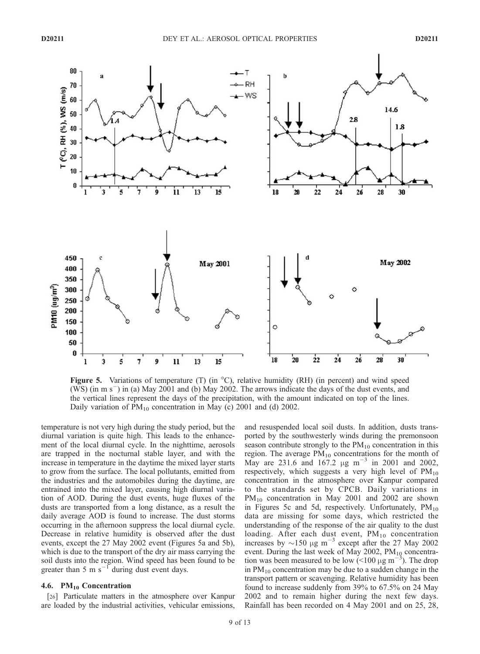

Figure 5. Variations of temperature (T) (in  $^{\circ}$ C), relative humidity (RH) (in percent) and wind speed  $(WS)$  (in m s<sup>-</sup>) in (a) May 2001 and (b) May 2002. The arrows indicate the days of the dust events, and the vertical lines represent the days of the precipitation, with the amount indicated on top of the lines. Daily variation of  $PM_{10}$  concentration in May (c) 2001 and (d) 2002.

temperature is not very high during the study period, but the diurnal variation is quite high. This leads to the enhancement of the local diurnal cycle. In the nighttime, aerosols are trapped in the nocturnal stable layer, and with the increase in temperature in the daytime the mixed layer starts to grow from the surface. The local pollutants, emitted from the industries and the automobiles during the daytime, are entrained into the mixed layer, causing high diurnal variation of AOD. During the dust events, huge fluxes of the dusts are transported from a long distance, as a result the daily average AOD is found to increase. The dust storms occurring in the afternoon suppress the local diurnal cycle. Decrease in relative humidity is observed after the dust events, except the 27 May 2002 event (Figures 5a and 5b), which is due to the transport of the dry air mass carrying the soil dusts into the region. Wind speed has been found to be greater than 5 m  $s^{-1}$  during dust event days.

### 4.6.  $PM_{10}$  Concentration

[26] Particulate matters in the atmosphere over Kanpur are loaded by the industrial activities, vehicular emissions,

and resuspended local soil dusts. In addition, dusts transported by the southwesterly winds during the premonsoon season contribute strongly to the  $PM_{10}$  concentration in this region. The average  $PM_{10}$  concentrations for the month of May are 231.6 and  $167.2 \mu g m^{-3}$  in 2001 and 2002, respectively, which suggests a very high level of  $PM_{10}$ concentration in the atmosphere over Kanpur compared to the standards set by CPCB. Daily variations in  $PM_{10}$  concentration in May 2001 and 2002 are shown in Figures 5c and 5d, respectively. Unfortunately,  $PM_{10}$ data are missing for some days, which restricted the understanding of the response of the air quality to the dust loading. After each dust event,  $PM_{10}$  concentration increases by  $\sim$ 150  $\mu$ g m<sup>-3</sup> except after the 27 May 2002 event. During the last week of May 2002,  $PM_{10}$  concentration was been measured to be low  $(<100 \mu g m^{-3})$ . The drop in  $PM_{10}$  concentration may be due to a sudden change in the transport pattern or scavenging. Relative humidity has been found to increase suddenly from 39% to 67.5% on 24 May 2002 and to remain higher during the next few days. Rainfall has been recorded on 4 May 2001 and on 25, 28,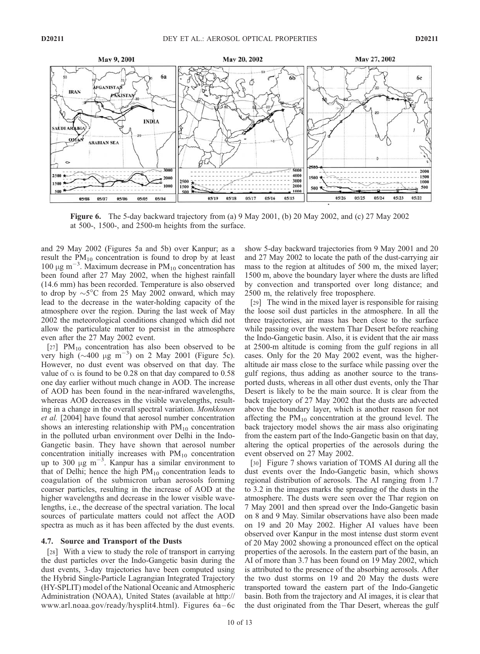

Figure 6. The 5-day backward trajectory from (a) 9 May 2001, (b) 20 May 2002, and (c) 27 May 2002 at 500-, 1500-, and 2500-m heights from the surface.

and 29 May 2002 (Figures 5a and 5b) over Kanpur; as a result the  $PM_{10}$  concentration is found to drop by at least  $100 \mu g$  m<sup>-3</sup>. Maximum decrease in PM<sub>10</sub> concentration has been found after 27 May 2002, when the highest rainfall (14.6 mm) has been recorded. Temperature is also observed to drop by  $\sim$  5°C from 25 May 2002 onward, which may lead to the decrease in the water-holding capacity of the atmosphere over the region. During the last week of May 2002 the meteorological conditions changed which did not allow the particulate matter to persist in the atmosphere even after the 27 May 2002 event.

[27]  $PM_{10}$  concentration has also been observed to be very high  $(\sim 400 \text{ µg m}^{-3})$  on 2 May 2001 (Figure 5c). However, no dust event was observed on that day. The value of  $\alpha$  is found to be 0.28 on that day compared to 0.58 one day earlier without much change in AOD. The increase of AOD has been found in the near-infrared wavelengths, whereas AOD decreases in the visible wavelengths, resulting in a change in the overall spectral variation. Monkkonen et al. [2004] have found that aerosol number concentration shows an interesting relationship with  $PM_{10}$  concentration in the polluted urban environment over Delhi in the Indo-Gangetic basin. They have shown that aerosol number concentration initially increases with  $PM_{10}$  concentration up to 300  $\mu$ g m<sup>-3</sup>. Kanpur has a similar environment to that of Delhi; hence the high  $PM_{10}$  concentration leads to coagulation of the submicron urban aerosols forming coarser particles, resulting in the increase of AOD at the higher wavelengths and decrease in the lower visible wavelengths, i.e., the decrease of the spectral variation. The local sources of particulate matters could not affect the AOD spectra as much as it has been affected by the dust events.

### 4.7. Source and Transport of the Dusts

[28] With a view to study the role of transport in carrying the dust particles over the Indo-Gangetic basin during the dust events, 3-day trajectories have been computed using the Hybrid Single-Particle Lagrangian Integrated Trajectory (HY-SPLIT) model of the National Oceanic and Atmospheric Administration (NOAA), United States (available at http:// www.arl.noaa.gov/ready/hysplit4.html). Figures 6a – 6c

show 5-day backward trajectories from 9 May 2001 and 20 and 27 May 2002 to locate the path of the dust-carrying air mass to the region at altitudes of 500 m, the mixed layer; 1500 m, above the boundary layer where the dusts are lifted by convection and transported over long distance; and 2500 m, the relatively free troposphere.

[29] The wind in the mixed layer is responsible for raising the loose soil dust particles in the atmosphere. In all the three trajectories, air mass has been close to the surface while passing over the western Thar Desert before reaching the Indo-Gangetic basin. Also, it is evident that the air mass at 2500-m altitude is coming from the gulf regions in all cases. Only for the 20 May 2002 event, was the higheraltitude air mass close to the surface while passing over the gulf regions, thus adding as another source to the transported dusts, whereas in all other dust events, only the Thar Desert is likely to be the main source. It is clear from the back trajectory of 27 May 2002 that the dusts are advected above the boundary layer, which is another reason for not affecting the  $PM_{10}$  concentration at the ground level. The back trajectory model shows the air mass also originating from the eastern part of the Indo-Gangetic basin on that day, altering the optical properties of the aerosols during the event observed on 27 May 2002.

[30] Figure 7 shows variation of TOMS AI during all the dust events over the Indo-Gangetic basin, which shows regional distribution of aerosols. The AI ranging from 1.7 to 3.2 in the images marks the spreading of the dusts in the atmosphere. The dusts were seen over the Thar region on 7 May 2001 and then spread over the Indo-Gangetic basin on 8 and 9 May. Similar observations have also been made on 19 and 20 May 2002. Higher AI values have been observed over Kanpur in the most intense dust storm event of 20 May 2002 showing a pronounced effect on the optical properties of the aerosols. In the eastern part of the basin, an AI of more than 3.7 has been found on 19 May 2002, which is attributed to the presence of the absorbing aerosols. After the two dust storms on 19 and 20 May the dusts were transported toward the eastern part of the Indo-Gangetic basin. Both from the trajectory and AI images, it is clear that the dust originated from the Thar Desert, whereas the gulf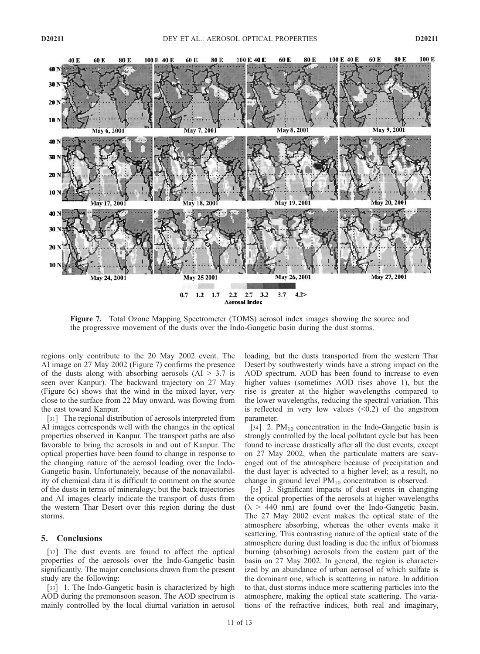

 $2.2$   $2.7$   $3.2$  $3.7$ **Aerosol Index** 

 $4.2$ 

Figure 7. Total Ozone Mapping Spectrometer (TOMS) aerosol index images showing the source and the progressive movement of the dusts over the Indo-Gangetic basin during the dust storms.

 $0.7$  1.2 1.7

regions only contribute to the 20 May 2002 event. The AI image on 27 May 2002 (Figure 7) confirms the presence of the dusts along with absorbing aerosols  $(AI > 3.7$  is seen over Kanpur). The backward trajectory on 27 May (Figure 6c) shows that the wind in the mixed layer, very close to the surface from 22 May onward, was flowing from the east toward Kanpur.

[31] The regional distribution of aerosols interpreted from AI images corresponds well with the changes in the optical properties observed in Kanpur. The transport paths are also favorable to bring the aerosols in and out of Kanpur. The optical properties have been found to change in response to the changing nature of the aerosol loading over the Indo-Gangetic basin. Unfortunately, because of the nonavailability of chemical data it is difficult to comment on the source of the dusts in terms of mineralogy; but the back trajectories and AI images clearly indicate the transport of dusts from the western Thar Desert over this region during the dust storms.

### 5. Conclusions

[32] The dust events are found to affect the optical properties of the aerosols over the Indo-Gangetic basin significantly. The major conclusions drawn from the present study are the following:

[33] 1. The Indo-Gangetic basin is characterized by high AOD during the premonsoon season. The AOD spectrum is mainly controlled by the local diurnal variation in aerosol

loading, but the dusts transported from the western Thar Desert by southwesterly winds have a strong impact on the AOD spectrum. AOD has been found to increase to even higher values (sometimes AOD rises above 1), but the rise is greater at the higher wavelengths compared to the lower wavelengths, reducing the spectral variation. This is reflected in very low values  $(\leq 0.2)$  of the angstrom parameter.

[34] 2.  $PM_{10}$  concentration in the Indo-Gangetic basin is strongly controlled by the local pollutant cycle but has been found to increase drastically after all the dust events, except on 27 May 2002, when the particulate matters are scavenged out of the atmosphere because of precipitation and the dust layer is advected to a higher level; as a result, no change in ground level  $PM_{10}$  concentration is observed.

[35] 3. Significant impacts of dust events in changing the optical properties of the aerosols at higher wavelengths  $(\lambda > 440 \text{ nm})$  are found over the Indo-Gangetic basin. The 27 May 2002 event makes the optical state of the atmosphere absorbing, whereas the other events make it scattering. This contrasting nature of the optical state of the atmosphere during dust loading is due the influx of biomass burning (absorbing) aerosols from the eastern part of the basin on 27 May 2002. In general, the region is characterized by an abundance of urban aerosol of which sulfate is the dominant one, which is scattering in nature. In addition to that, dust storms induce more scattering particles into the atmosphere, making the optical state scattering. The variations of the refractive indices, both real and imaginary,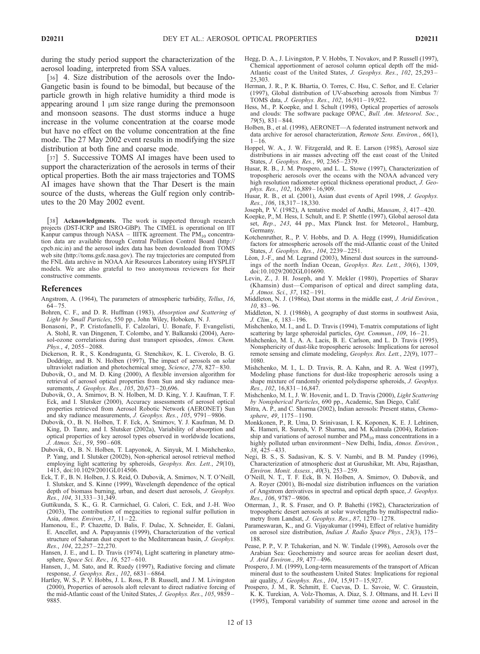during the study period support the characterization of the aerosol loading, interpreted from SSA values.

[36] 4. Size distribution of the aerosols over the Indo-Gangetic basin is found to be bimodal, but because of the particle growth in high relative humidity a third mode is appearing around  $1 \mu m$  size range during the premonsoon and monsoon seasons. The dust storms induce a huge increase in the volume concentration at the coarse mode but have no effect on the volume concentration at the fine mode. The 27 May 2002 event results in modifying the size distribution at both fine and coarse mode.

[37] 5. Successive TOMS AI images have been used to support the characterization of the aerosols in terms of their optical properties. Both the air mass trajectories and TOMS AI images have shown that the Thar Desert is the main source of the dusts, whereas the Gulf region only contributes to the 20 May 2002 event.

[38] Acknowledgments. The work is supported through research projects (DST-ICRP and ISRO-GBP). The CIMEL is operational on IIT Kanpur campus through NASA – IIITK agreement. The  $PM_{10}$  concentration data are available through Central Pollution Control Board (http:// cpcb.nic.in) and the aerosol index data has been downloaded from TOMS web site (http://toms.gsfc.nasa.gov). The ray trajectories are computed from the FNL data archive in NOAA Air Resources Laboratory using HYSPLIT models. We are also grateful to two anonymous reviewers for their constructive comments.

#### **References**

- Angstrom, A. (1964), The parameters of atmospheric turbidity, Tellus, 16,  $64 - 75.$
- Bohren, C. F., and D. R. Huffman (1983), Absorption and Scattering of Light by Small Particles, 550 pp., John Wiley, Hoboken, N. J.
- Bonasoni, P., P. Cristofanelli, F. Calzolari, U. Bonafe, F. Evangelisti, A. Stohl, R. van Dingenen, T. Colombo, and Y. Balkanski (2004), Aerosol-ozone correlations during dust transport episodes, Atmos. Chem. Phys., 4, 2055-2088.
- Dickerson, R. R., S. Kondragunta, G. Stenchikov, K. L. Civerolo, B. G. Doddrige, and B. N. Holben (1997), The impact of aerosols on solar ultraviolet radiation and photochemical smog, Science, 278, 827 – 830.
- Dubovik, O., and M. D. King (2000), A flexible inversion algorithm for retrieval of aerosol optical properties from Sun and sky radiance measurements, *J. Geophys. Res.*, 105, 20,673-20,696.
- Dubovik, O., A. Smirnov, B. N. Holben, M. D. King, Y. J. Kaufman, T. F. Eck, and I. Slutsker (2000), Accuracy assessments of aerosol optical properties retrieved from Aerosol Robotic Network (AERONET) Sun and sky radiance measurements, J. Geophys. Res., 105, 9791 – 9806.
- Dubovik, O., B. N. Holben, T. F. Eck, A. Smirnov, Y. J. Kaufman, M. D. King, D. Tanre, and I. Slutsker (2002a), Variability of absorption and optical properties of key aerosol types observed in worldwide locations, J. Atmos. Sci., 59, 590 – 608.
- Dubovik, O., B. N. Holben, T. Lapyonok, A. Sinyuk, M. I. Mishchenko, P. Yang, and I. Slutsker (2002b), Non-spherical aerosol retrieval method employing light scattering by spheroids, Geophys. Res. Lett., 29(10), 1415, doi:10.1029/2001GL014506.
- Eck, T. F., B. N. Holben, J. S. Reid, O. Dubovik, A. Smirnov, N. T. O'Neill, I. Slutsker, and S. Kinne (1999), Wavelength dependence of the optical depth of biomass burning, urban, and desert dust aerosols, J. Geophys. Res., 104, 31,333 – 31,349.
- Guttikunda, S. K., G. R. Carmichael, G. Calori, C. Eck, and J.-H. Woo (2003), The contribution of megacities to regional sulfur pollution in Asia, Atmos. Environ., 37, 11-22.
- Hamonou, E., P. Chazette, D. Balis, F. Dulac, X. Schneider, E. Galani, E. Ancellet, and A. Papayannis (1999), Characterization of the vertical structure of Saharan dust export to the Mediterranean basin, J. Geophys. Res., 104, 22,257 – 22,270.
- Hansen, J. E., and L. D. Travis (1974), Light scattering in planetary atmosphere, Space Sci. Rev., 16, 527-610.
- Hansen, J., M. Sato, and R. Ruedy (1997), Radiative forcing and climate response, *J. Geophys. Res.*, 102, 6831-6864.
- Hartley, W. S., P. V. Hobbs, J. L. Ross, P. B. Russell, and J. M. Livingston (2000), Properties of aerosols aloft relevant to direct radiative forcing of the mid-Atlantic coast of the United States, J. Geophys. Res., 105, 9859 – 9885.
- Hegg, D. A., J. Livingston, P. V. Hobbs, T. Novakov, and P. Russell (1997), Chemical apportionment of aerosol column optical depth off the mid-Atlantic coast of the United States, J. Geophys. Res., 102, 25,293-25,303.
- Herman, J. R., P. K. Bhartia, O. Torres, C. Hsu, C. Seftor, and E. Celarier (1997), Global distribution of UV-absorbing aerosols from Nimbus 7/ TOMS data, J. Geophys. Res., 102, 16,911 – 19,922.
- Hess, M., P. Koepke, and I. Schult (1998), Optical properties of aerosols and clouds: The software package OPAC, Bull. Am. Meteorol. Soc., 79(5), 831 – 844.
- Holben, B., et al. (1998), AERONET—A federated instrument network and data archive for aerosol characterization, Remote Sens. Environ., 66(1),  $1 - 16$ .
- Hoppel, W. A., J. W. Fitzgerald, and R. E. Larson (1985), Aerosol size distributions in air masses advecting off the east coast of the United States, J. Geophys. Res., 90, 2365 – 2379.
- Husar, R. B., J. M. Prospero, and L. L. Stowe (1997), Characterization of tropospheric aerosols over the oceans with the NOAA advanced very high resolution radiometer optical thickness operational product, J. Geophys. Res., 102, 16,889-16,909.
- Husar, R. B., et al. (2001), Asian dust events of April 1998, J. Geophys. Res., 106, 18,317 – 18,330.
- Joseph, P. V. (1982), A tentative model of Andhi, Mausam, 3, 417 420.
- Koepke, P., M. Hess, I. Schult, and E. P. Shettle (1997), Global aerosol data set, Rep., 243, 44 pp., Max Planck Inst. for Meteorol., Hamburg, **Germany**
- Kotchenruther, R., P. V. Hobbs, and D. A. Hegg (1999), Humidification factors for atmospheric aerosols off the mid-Atlantic coast of the United States, J. Geophys. Res., 104, 2239-2251.
- Léon, J.-F., and M. Legrand (2003), Mineral dust sources in the surroundings of the north Indian Ocean, Geophys. Res. Lett., 30(6), 1309, doi:10.1029/2002GL016690.
- Levin, Z., J. H. Joseph, and Y. Mekler (1980), Properties of Sharav (Khamsin) dust—Comparison of optical and direct sampling data, J. Atmos. Sci., 37, 182-191.
- Middleton, N. J. (1986a), Dust storms in the middle east, J. Arid Environ.,  $10, 83 - 96$
- Middleton, N. J. (1986b), A geography of dust storms in southwest Asia, J. Clim., 6, 183 – 196.
- Mishchenko, M. I., and L. D. Travis (1994), T-matrix computations of light scattering by large spheroidal particles, Opt. Commun., 109, 16-21.
- Mishchenko, M. I., A. A. Lacis, B. E. Carlson, and L. D. Travis (1995), Nonsphericity of dust-like tropospheric aerosols: Implications for aerosol remote sensing and climate modeling, Geophys. Res. Lett., 22(9), 1077 – 1080.
- Mishchenko, M. I., L. D. Travis, R. A. Kahn, and R. A. West (1997), Modeling phase functions for dust-like tropospheric aerosols using a shape mixture of randomly oriented polydisperse spheroids, J. Geophys.  $Res.$ , 102, 16,831 – 16,847.
- Mishchenko, M. I., J. W. Hovenir, and L. D. Travis (2000), Light Scattering by Nonspherical Particles, 690 pp., Academic, San Diego, Calif.
- Mitra, A. P., and C. Sharma (2002), Indian aerosols: Present status, Chemosphere, 49, 1175 – 1190.
- Monkkonen, P., R. Uma, D. Srinivasan, I. K. Koponen, K. E. J. Lehtinen, K. Hameri, R. Suresh, V. P. Sharma, and M. Kulmala (2004), Relationship and variations of aerosol number and PM<sub>10</sub> mass concentrations in a highly polluted urban environment-New Delhi, India, Atmos. Environ., 38, 425 – 433.
- Negi, B. S., S. Sadasivan, K. S. V. Nambi, and B. M. Pandey (1996), Characterization of atmospheric dust at Gurushikar, Mt. Abu, Rajasthan, Environ. Monit. Assess., 40(3), 253 – 259.
- O'Neill, N. T., T. F. Eck, B. N. Holben, A. Smirnov, O. Dubovik, and A. Royer (2001), Bi-modal size distribution influences on the variation of Angstrom derivatives in spectral and optical depth space, J. Geophys. Res., 106, 9787 – 9806.
- Otterman, J., R. S. Fraser, and O. P. Bahethi (1982), Characterization of tropospheric desert aerosols at solar wavelengths by multispectral radiometry from Landsat, J. Geophys. Res., 87, 1270 – 1278.
- Parameswaran, K., and G. Vijayakumar (1994), Effect of relative humidity on aerosol size distribution, Indian J. Radio Space Phys., 23(3), 175 – 188.
- Pease, P. P., V. P. Tchakerian, and N. W. Tindale (1998), Aerosols over the Arabian Sea: Geochemistry and source areas for aeolian desert dust, J. Arid Environ., 39, 477 – 496.
- Prospero, J. M. (1999), Long-term measurements of the transport of African mineral dust to the southeastern United States: Implications for regional air quality, J. Geophys. Res., 104, 15,917 – 15,927.
- Prospero, J. M., R. Schmitt, E. Cuevas, D. L. Savoie, W. C. Graustein, K. K. Turekian, A. Volz-Thomas, A. Diaz, S. J. Oltmans, and H. Levi II (1995), Temporal variability of summer time ozone and aerosol in the